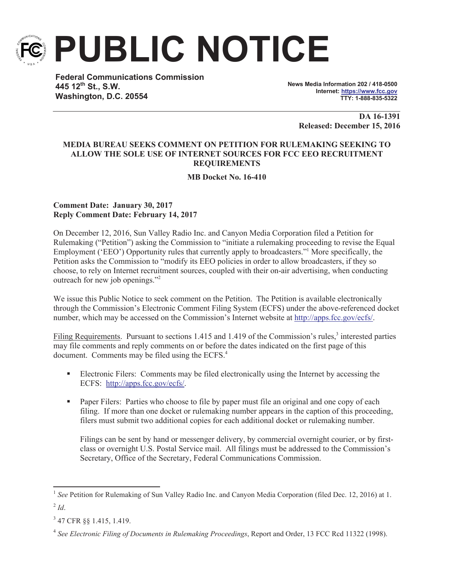

**PUBLIC NOTICE**

**Federal Communications Commission 445 12th St., S.W. Washington, D.C. 20554**

**News Media Information 202 / 418-0500 Internet: https://www.fcc.gov TTY: 1-888-835-5322**

> **DA 16-1391 Released: December 15, 2016**

## **MEDIA BUREAU SEEKS COMMENT ON PETITION FOR RULEMAKING SEEKING TO ALLOW THE SOLE USE OF INTERNET SOURCES FOR FCC EEO RECRUITMENT REQUIREMENTS**

**MB Docket No. 16-410**

## **Comment Date: January 30, 2017 Reply Comment Date: February 14, 2017**

On December 12, 2016, Sun Valley Radio Inc. and Canyon Media Corporation filed a Petition for Rulemaking ("Petition") asking the Commission to "initiate a rulemaking proceeding to revise the Equal Employment ('EEO') Opportunity rules that currently apply to broadcasters."<sup>1</sup> More specifically, the Petition asks the Commission to "modify its EEO policies in order to allow broadcasters, if they so choose, to rely on Internet recruitment sources, coupled with their on-air advertising, when conducting outreach for new job openings."<sup>2</sup>

We issue this Public Notice to seek comment on the Petition. The Petition is available electronically through the Commission's Electronic Comment Filing System (ECFS) under the above-referenced docket number, which may be accessed on the Commission's Internet website at http://apps.fcc.gov/ecfs/.

Filing Requirements. Pursuant to sections 1.415 and 1.419 of the Commission's rules,<sup>3</sup> interested parties may file comments and reply comments on or before the dates indicated on the first page of this document. Comments may be filed using the ECFS.<sup>4</sup>

- Electronic Filers: Comments may be filed electronically using the Internet by accessing the ECFS: http://apps.fcc.gov/ecfs/.
- Paper Filers: Parties who choose to file by paper must file an original and one copy of each filing. If more than one docket or rulemaking number appears in the caption of this proceeding, filers must submit two additional copies for each additional docket or rulemaking number.

Filings can be sent by hand or messenger delivery, by commercial overnight courier, or by firstclass or overnight U.S. Postal Service mail. All filings must be addressed to the Commission's Secretary, Office of the Secretary, Federal Communications Commission.

<sup>&</sup>lt;sup>1</sup> See Petition for Rulemaking of Sun Valley Radio Inc. and Canyon Media Corporation (filed Dec. 12, 2016) at 1.  $^{2}$ *Id*.

<sup>&</sup>lt;sup>3</sup> 47 CFR §§ 1.415, 1.419.

<sup>4</sup> *See Electronic Filing of Documents in Rulemaking Proceedings*, Report and Order, 13 FCC Rcd 11322 (1998).